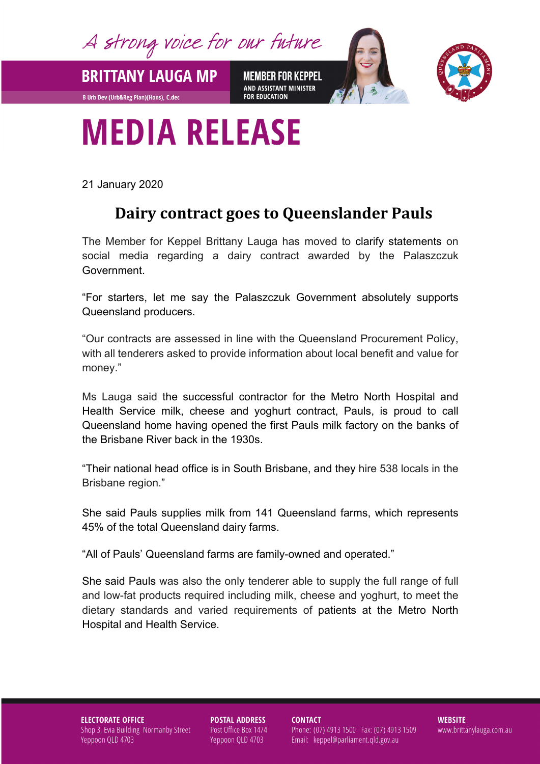A strong voice for our future

**BRITTANY LAUGA MP** 

**B Urb Dev (Urb&Reg Plan)(Hons), C.dec** 

**MEMBER FOR KEPPEL** AND ASSISTANT MINISTER **FOR EDUCATION** 



## **MEDIA RELEASE**

21 January 2020

## **Dairy contract goes to Queenslander Pauls**

The Member for Keppel Brittany Lauga has moved to clarify statements on social media regarding a dairy contract awarded by the Palaszczuk Government.

"For starters, let me say the Palaszczuk Government absolutely supports Queensland producers.

"Our contracts are assessed in line with the Queensland Procurement Policy, with all tenderers asked to provide information about local benefit and value for money."

Ms Lauga said the successful contractor for the Metro North Hospital and Health Service milk, cheese and yoghurt contract, Pauls, is proud to call Queensland home having opened the first Pauls milk factory on the banks of the Brisbane River back in the 1930s.

"Their national head office is in South Brisbane, and they hire 538 locals in the Brisbane region."

She said Pauls supplies milk from 141 Queensland farms, which represents 45% of the total Queensland dairy farms.

"All of Pauls' Queensland farms are family-owned and operated."

She said Pauls was also the only tenderer able to supply the full range of full and low-fat products required including milk, cheese and yoghurt, to meet the dietary standards and varied requirements of patients at the Metro North Hospital and Health Service.

**ELECTORATE OFFICE** Shop 3, Evia Building Normanby Street Yeppoon QLD 4703

**POSTAL ADDRESS** Post Office Box 1474 Yeppoon QLD 4703

**CONTACT** 

Phone: (07) 4913 1500 Fax: (07) 4913 1509 Email: keppel@parliament.qld.gov.au

**WEBSITE** www.brittanylauga.com.au